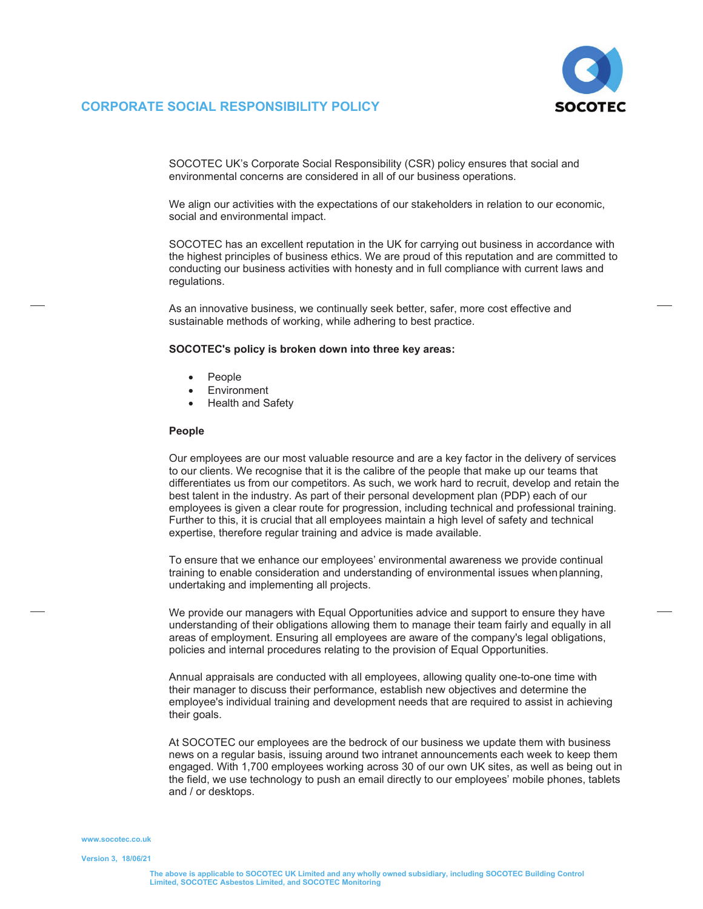

## **CORPORATE SOCIAL RESPONSIBILITY POLICY**

SOCOTEC UK's Corporate Social Responsibility (CSR) policy ensures that social and environmental concerns are considered in all of our business operations.

We align our activities with the expectations of our stakeholders in relation to our economic, social and environmental impact.

SOCOTEC has an excellent reputation in the UK for carrying out business in accordance with the highest principles of business ethics. We are proud of this reputation and are committed to conducting our business activities with honesty and in full compliance with current laws and regulations.

As an innovative business, we continually seek better, safer, more cost effective and sustainable methods of working, while adhering to best practice.

#### **SOCOTEC's policy is broken down into three key areas:**

- $\bullet$ People
- $\bullet$ **Environment**
- $\bullet$ Health and Safety

#### **People**

Our employees are our most valuable resource and are a key factor in the delivery of services to our clients. We recognise that it is the calibre of the people that make up our teams that differentiates us from our competitors. As such, we work hard to recruit, develop and retain the best talent in the industry. As part of their personal development plan (PDP) each of our employees is given a clear route for progression, including technical and professional training. Further to this, it is crucial that all employees maintain a high level of safety and technical expertise, therefore regular training and advice is made available.

To ensure that we enhance our employees' environmental awareness we provide continual training to enable consideration and understanding of environmental issues whenplanning, undertaking and implementing all projects.

We provide our managers with Equal Opportunities advice and support to ensure they have understanding of their obligations allowing them to manage their team fairly and equally in all areas of employment. Ensuring all employees are aware of the company's legal obligations, policies and internal procedures relating to the provision of Equal Opportunities.

Annual appraisals are conducted with all employees, allowing quality one-to-one time with their manager to discuss their performance, establish new objectives and determine the employee's individual training and development needs that are required to assist in achieving their goals.

At SOCOTEC our employees are the bedrock of our business we update them with business news on a regular basis, issuing around two intranet announcements each week to keep them engaged. With 1,700 employees working across 30 of our own UK sites, as well as being out in the field, we use technology to push an email directly to our employees' mobile phones, tablets and / or desktops.

#### **www.socotec.co.uk**

**Version 3,**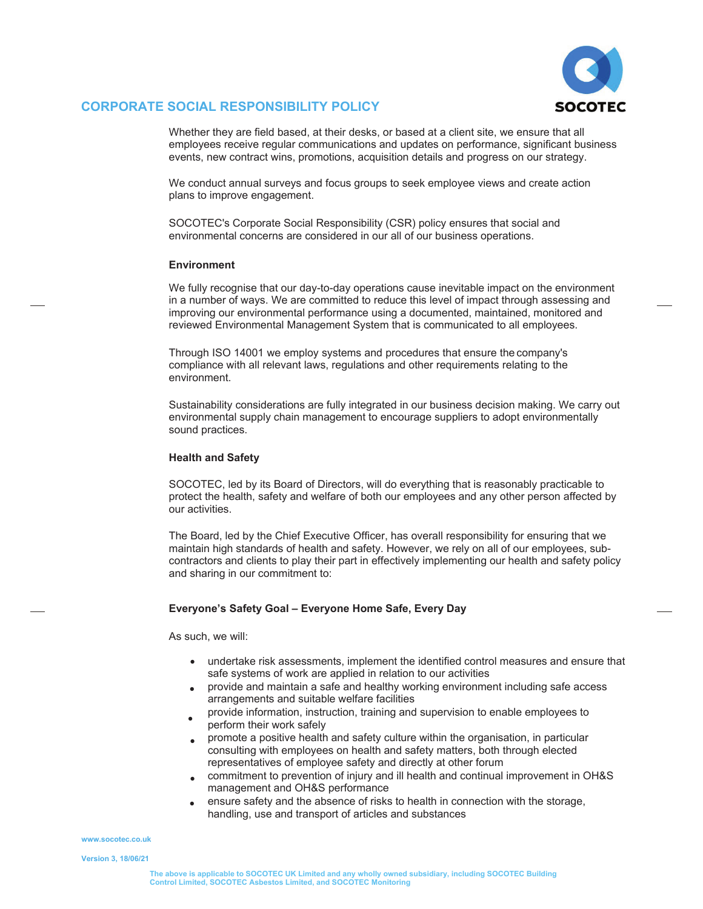

# **CORPORATE SOCIAL RESPONSIBILITY POLICY**

Whether they are field based, at their desks, or based at a client site, we ensure that all employees receive regular communications and updates on performance, significant business events, new contract wins, promotions, acquisition details and progress on our strategy.

We conduct annual surveys and focus groups to seek employee views and create action plans to improve engagement.

SOCOTEC's Corporate Social Responsibility (CSR) policy ensures that social and environmental concerns are considered in our all of our business operations.

### **Environment**

We fully recognise that our day-to-day operations cause inevitable impact on the environment in a number of ways. We are committed to reduce this level of impact through assessing and improving our environmental performance using a documented, maintained, monitored and reviewed Environmental Management System that is communicated to all employees.

Through ISO 14001 we employ systems and procedures that ensure the company's compliance with all relevant laws, regulations and other requirements relating to the environment.

Sustainability considerations are fully integrated in our business decision making. We carry out environmental supply chain management to encourage suppliers to adopt environmentally sound practices.

## **Health and Safety**

SOCOTEC, led by its Board of Directors, will do everything that is reasonably practicable to protect the health, safety and welfare of both our employees and any other person affected by our activities.

The Board, led by the Chief Executive Officer, has overall responsibility for ensuring that we maintain high standards of health and safety. However, we rely on all of our employees, subcontractors and clients to play their part in effectively implementing our health and safety policy and sharing in our commitment to:

## **Everyone's Safety Goal – Everyone Home Safe, Every Day**

As such, we will:

- undertake risk assessments, implement the identified control measures and ensure that safe systems of work are applied in relation to our activities
- provide and maintain a safe and healthy working environment including safe access arrangements and suitable welfare facilities  $\bullet$
- provide information, instruction, training and supervision to enable employees to perform their work safely  $\bullet$
- promote a positive health and safety culture within the organisation, in particular consulting with employees on health and safety matters, both through elected representatives of employee safety and directly at other forum  $\bullet$
- commitment to prevention of injury and ill health and continual improvement in OH&S management and OH&S performance  $\bullet$
- ensure safety and the absence of risks to health in connection with the storage, handling, use and transport of articles and substances  $\bullet$

**www.socotec.co.uk**

**Version 3, 18/06/21**